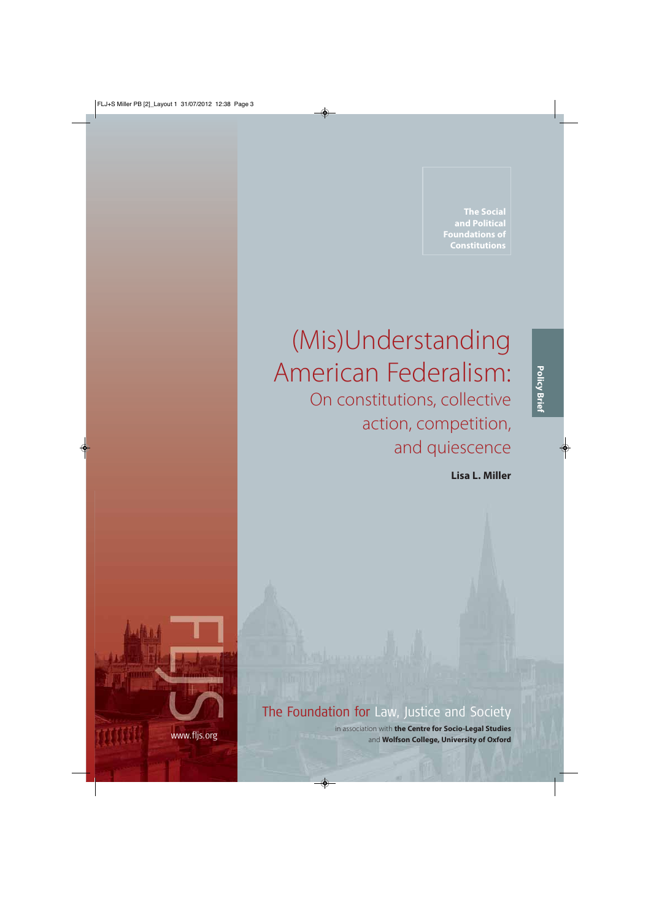**The Social and Political Foundations of Constitutions**

# (Mis)Understanding American Federalism: On constitutions, collective action, competition, and quiescence

**Lisa L. Miller**

The Foundation for Law, Justice and Society

in association with **the Centre for Socio-Legal Studies**  and **Wolfson College, University of Oxford**

www.fljs.org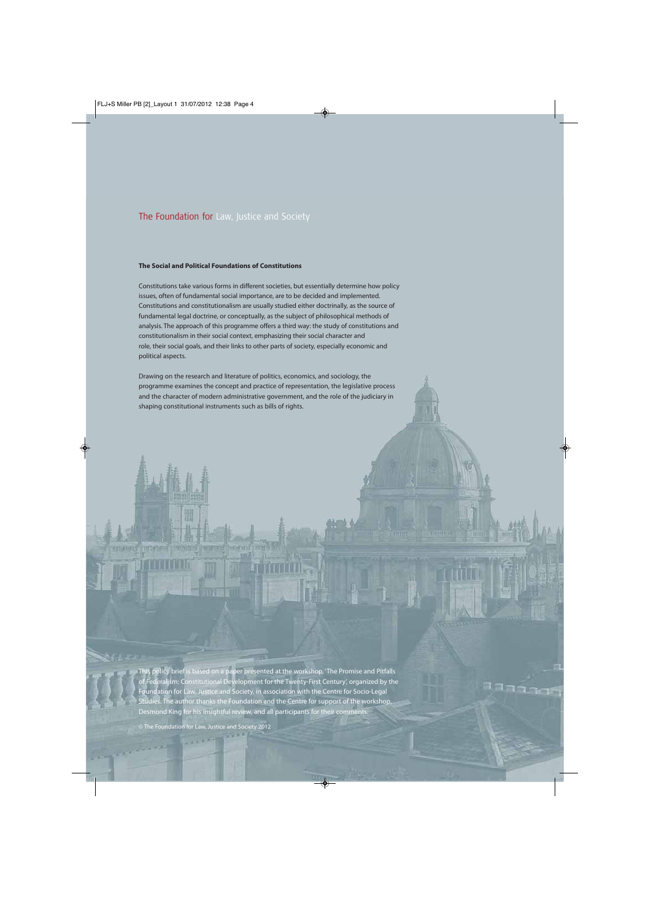### The Foundation for Law, Justice and Society

#### **The Social and Political Foundations of Constitutions**

Constitutions take various forms in different societies, but essentially determine how policy issues, often of fundamental social importance, are to be decided and implemented. Constitutions and constitutionalism are usually studied either doctrinally, as the source of fundamental legal doctrine, or conceptually, as the subject of philosophical methods of analysis. The approach of this programme offers a third way: the study of constitutions and constitutionalism in their social context, emphasizing their social character and role, their social goals, and their links to other parts of society, especially economic and political aspects.

Drawing on the research and literature of politics, economics, and sociology, the programme examines the concept and practice of representation, the legislative process and the character of modern administrative government, and the role of the judiciary in shaping constitutional instruments such as bills of rights.

This policy brief is based on a paper presented at the workshop, 'The Promise and Pitfalls of Federalism: Constitutional Development for the Twenty-First Century', organized by the Foundation for Law, Justice and Society, in association with the Centre for Socio-Legal Studies. The author thanks the Foundation and the Centre for support of the workshop, Desmond King for his insightful review, and all participants for their comments.

© The Foundation for Law, Justice and Society 2012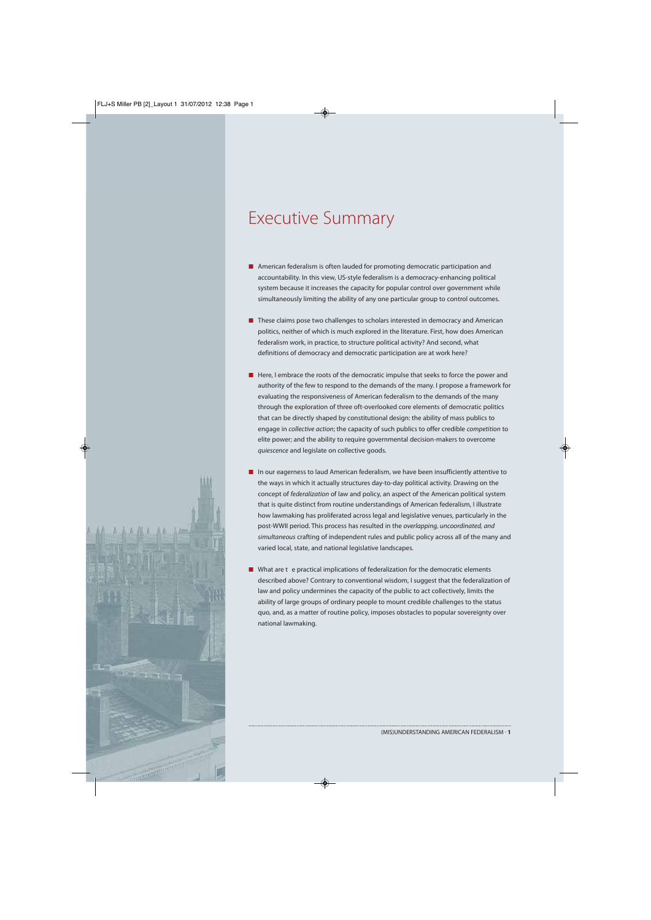## Executive Summary

- American federalism is often lauded for promoting democratic participation and accountability. In this view, US-style federalism is a democracy-enhancing political system because it increases the capacity for popular control over government while simultaneously limiting the ability of any one particular group to control outcomes.
- These claims pose two challenges to scholars interested in democracy and American politics, neither of which is much explored in the literature. First, how does American federalism work, in practice, to structure political activity? And second, what definitions of democracy and democratic participation are at work here?
- $\blacksquare$  Here, I embrace the roots of the democratic impulse that seeks to force the power and authority of the few to respond to the demands of the many. I propose a framework for evaluating the responsiveness of American federalism to the demands of the many through the exploration of three oft-overlooked core elements of democratic politics that can be directly shaped by constitutional design: the ability of mass publics to engage in *collective action*; the capacity of such publics to offer credible *competition* to elite power; and the ability to require governmental decision-makers to overcome *quiescence* and legislate on collective goods.
- n In our eagerness to laud American federalism, we have been insufficiently attentive to the ways in which it actually structures day-to-day political activity. Drawing on the concept of *federalization* of law and policy, an aspect of the American political system that is quite distinct from routine understandings of American federalism, I illustrate how lawmaking has proliferated across legal and legislative venues, particularly in the post-WWII period. This process has resulted in the *overlapping, uncoordinated, and simultaneous* crafting of independent rules and public policy across all of the many and varied local, state, and national legislative landscapes.
- $\blacksquare$  What are t e practical implications of federalization for the democratic elements described above? Contrary to conventional wisdom, I suggest that the federalization of law and policy undermines the capacity of the public to act collectively, limits the ability of large groups of ordinary people to mount credible challenges to the status quo, and, as a matter of routine policy, imposes obstacles to popular sovereignty over national lawmaking.

**Community**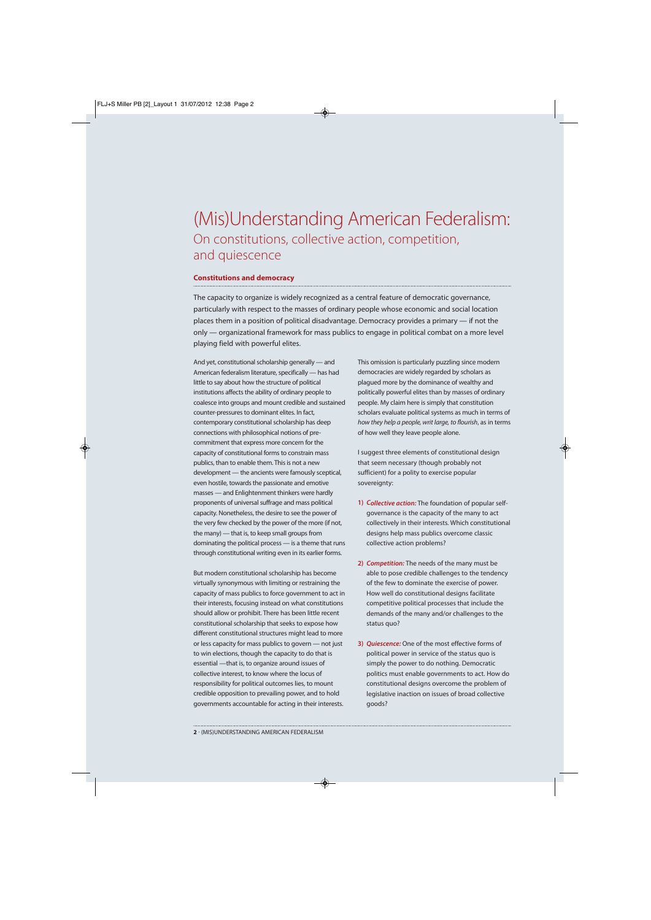### (Mis)Understanding American Federalism: On constitutions, collective action, competition, and quiescence

#### **Constitutions and democracy**

The capacity to organize is widely recognized as a central feature of democratic governance, particularly with respect to the masses of ordinary people whose economic and social location places them in a position of political disadvantage. Democracy provides a primary — if not the only — organizational framework for mass publics to engage in political combat on a more level playing field with powerful elites.

And yet, constitutional scholarship generally — and American federalism literature, specifically — has had little to say about how the structure of political institutions affects the ability of ordinary people to coalesce into groups and mount credible and sustained counter-pressures to dominant elites. In fact, contemporary constitutional scholarship has deep connections with philosophical notions of precommitment that express more concern for the capacity of constitutional forms to constrain mass publics, than to enable them. This is not a new development — the ancients were famously sceptical, even hostile, towards the passionate and emotive masses — and Enlightenment thinkers were hardly proponents of universal suffrage and mass political capacity. Nonetheless, the desire to see the power of the very few checked by the power of the more (if not, the many) — that is, to keep small groups from dominating the political process — is a theme that runs through constitutional writing even in its earlier forms.

But modern constitutional scholarship has become virtually synonymous with limiting or restraining the capacity of mass publics to force government to act in their interests, focusing instead on what constitutions should allow or prohibit. There has been little recent constitutional scholarship that seeks to expose how different constitutional structures might lead to more or less capacity for mass publics to govern — not just to win elections, though the capacity to do that is essential —that is, to organize around issues of collective interest, to know where the locus of responsibility for political outcomes lies, to mount credible opposition to prevailing power, and to hold governments accountable for acting in their interests.

This omission is particularly puzzling since modern democracies are widely regarded by scholars as plagued more by the dominance of wealthy and politically powerful elites than by masses of ordinary people. My claim here is simply that constitution scholars evaluate political systems as much in terms of *how they help a people, writ large, to flourish*, as in terms of how well they leave people alone.

I suggest three elements of constitutional design that seem necessary (though probably not sufficient) for a polity to exercise popular sovereignty:

- **1)** *Collective action:* The foundation of popular selfgovernance is the capacity of the many to act collectively in their interests. Which constitutional designs help mass publics overcome classic collective action problems?
- **2)** *Competition:* The needs of the many must be able to pose credible challenges to the tendency of the few to dominate the exercise of power. How well do constitutional designs facilitate competitive political processes that include the demands of the many and/or challenges to the status quo?
- **3)** *Quiescence:* One of the most effective forms of political power in service of the status quo is simply the power to do nothing. Democratic politics must enable governments to act. How do constitutional designs overcome the problem of legislative inaction on issues of broad collective goods?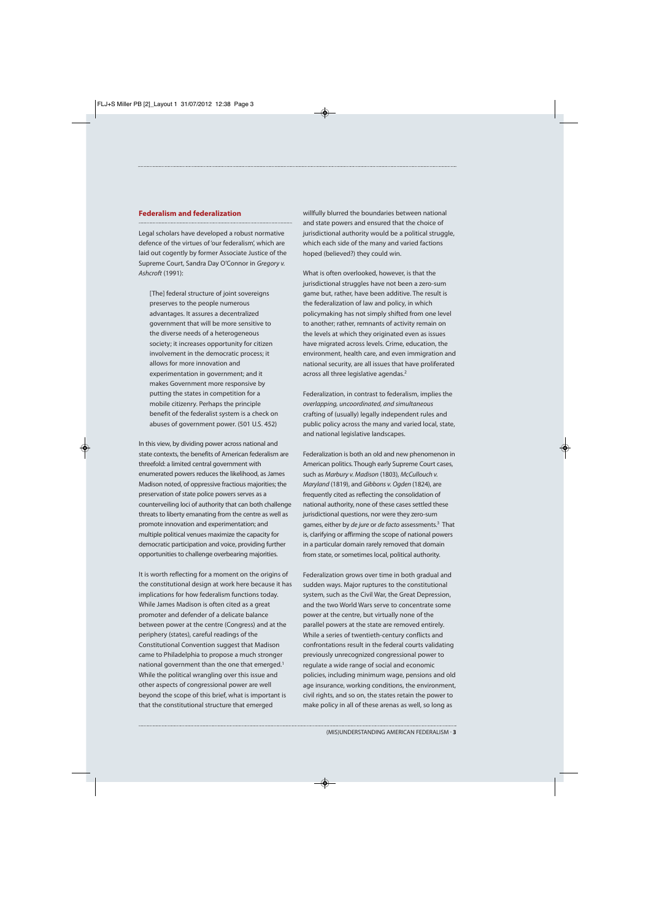#### **Federalism and federalization**

Legal scholars have developed a robust normative defence of the virtues of 'our federalism', which are laid out cogently by former Associate Justice of the Supreme Court, Sandra Day O'Connor in *Gregory v. Ashcroft* (1991):

[The] federal structure of joint sovereigns preserves to the people numerous advantages. It assures a decentralized government that will be more sensitive to the diverse needs of a heterogeneous society; it increases opportunity for citizen involvement in the democratic process; it allows for more innovation and experimentation in government; and it makes Government more responsive by putting the states in competition for a mobile citizenry. Perhaps the principle benefit of the federalist system is a check on abuses of government power. (501 U.S. 452)

In this view, by dividing power across national and state contexts, the benefits of American federalism are threefold: a limited central government with enumerated powers reduces the likelihood, as James Madison noted, of oppressive fractious majorities; the preservation of state police powers serves as a counterveiling loci of authority that can both challenge threats to liberty emanating from the centre as well as promote innovation and experimentation; and multiple political venues maximize the capacity for democratic participation and voice, providing further opportunities to challenge overbearing majorities.

It is worth reflecting for a moment on the origins of the constitutional design at work here because it has implications for how federalism functions today. While James Madison is often cited as a great promoter and defender of a delicate balance between power at the centre (Congress) and at the periphery (states), careful readings of the Constitutional Convention suggest that Madison came to Philadelphia to propose a much stronger national government than the one that emerged.<sup>1</sup> While the political wrangling over this issue and other aspects of congressional power are well beyond the scope of this brief, what is important is that the constitutional structure that emerged

willfully blurred the boundaries between national and state powers and ensured that the choice of jurisdictional authority would be a political struggle, which each side of the many and varied factions hoped (believed?) they could win.

What is often overlooked, however, is that the jurisdictional struggles have not been a zero-sum game but, rather, have been additive. The result is the federalization of law and policy, in which policymaking has not simply shifted from one level to another; rather, remnants of activity remain on the levels at which they originated even as issues have migrated across levels. Crime, education, the environment, health care, and even immigration and national security, are all issues that have proliferated across all three legislative agendas.<sup>2</sup>

Federalization, in contrast to federalism, implies the *overlapping, uncoordinated, and simultaneous* crafting of (usually) legally independent rules and public policy across the many and varied local, state, and national legislative landscapes.

Federalization is both an old and new phenomenon in American politics. Though early Supreme Court cases, such as *Marbury v. Madison* (1803), *McCullouch v. Maryland* (1819), and *Gibbons v. Ogden* (1824), are frequently cited as reflecting the consolidation of national authority, none of these cases settled these jurisdictional questions, nor were they zero-sum games, either by *de jure* or *de facto* assessments.3 That is, clarifying or affirming the scope of national powers in a particular domain rarely removed that domain from state, or sometimes local, political authority.

Federalization grows over time in both gradual and sudden ways. Major ruptures to the constitutional system, such as the Civil War, the Great Depression, and the two World Wars serve to concentrate some power at the centre, but virtually none of the parallel powers at the state are removed entirely. While a series of twentieth-century conflicts and confrontations result in the federal courts validating previously unrecognized congressional power to regulate a wide range of social and economic policies, including minimum wage, pensions and old age insurance, working conditions, the environment, civil rights, and so on, the states retain the power to make policy in all of these arenas as well, so long as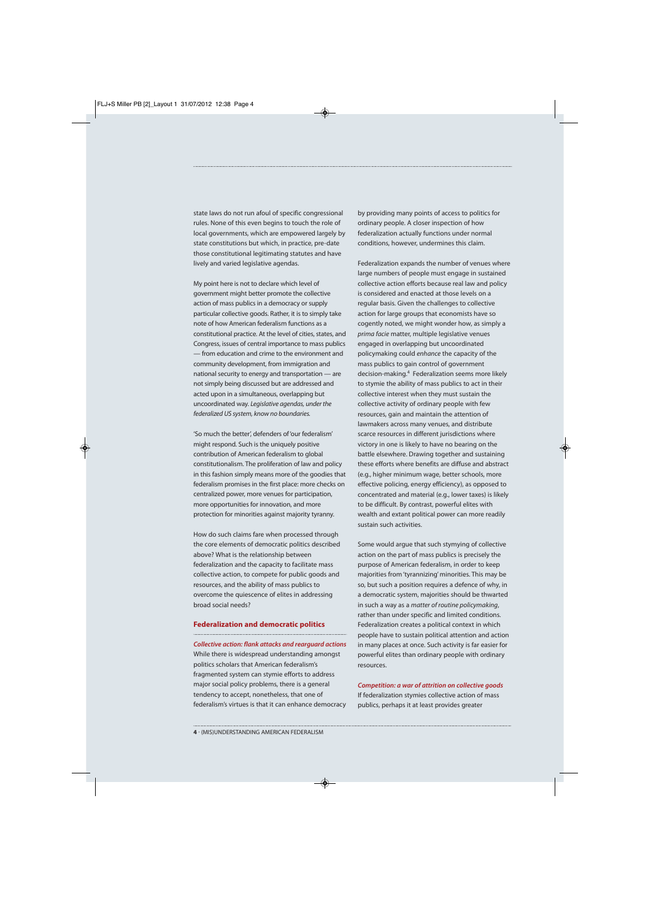state laws do not run afoul of specific congressional rules. None of this even begins to touch the role of local governments, which are empowered largely by state constitutions but which, in practice, pre-date those constitutional legitimating statutes and have lively and varied legislative agendas.

My point here is not to declare which level of government might better promote the collective action of mass publics in a democracy or supply particular collective goods. Rather, it is to simply take note of how American federalism functions as a constitutional practice. At the level of cities, states, and Congress, issues of central importance to mass publics — from education and crime to the environment and community development, from immigration and national security to energy and transportation — are not simply being discussed but are addressed and acted upon in a simultaneous, overlapping but uncoordinated way. *Legislative agendas, under the federalized US system, know no boundaries.* 

'So much the better', defenders of 'our federalism' might respond. Such is the uniquely positive contribution of American federalism to global constitutionalism. The proliferation of law and policy in this fashion simply means more of the goodies that federalism promises in the first place: more checks on centralized power, more venues for participation, more opportunities for innovation, and more protection for minorities against majority tyranny.

How do such claims fare when processed through the core elements of democratic politics described above? What is the relationship between federalization and the capacity to facilitate mass collective action, to compete for public goods and resources, and the ability of mass publics to overcome the quiescence of elites in addressing broad social needs?

#### **Federalization and democratic politics**

#### *Collective action: flank attacks and rearguard actions*

While there is widespread understanding amongst politics scholars that American federalism's fragmented system can stymie efforts to address major social policy problems, there is a general tendency to accept, nonetheless, that one of federalism's virtues is that it can enhance democracy by providing many points of access to politics for ordinary people. A closer inspection of how federalization actually functions under normal conditions, however, undermines this claim.

Federalization expands the number of venues where large numbers of people must engage in sustained collective action efforts because real law and policy is considered and enacted at those levels on a regular basis. Given the challenges to collective action for large groups that economists have so cogently noted, we might wonder how, as simply a *prima facie* matter, multiple legislative venues engaged in overlapping but uncoordinated policymaking could *enhance* the capacity of the mass publics to gain control of government decision-making.4 Federalization seems more likely to stymie the ability of mass publics to act in their collective interest when they must sustain the collective activity of ordinary people with few resources, gain and maintain the attention of lawmakers across many venues, and distribute scarce resources in different jurisdictions where victory in one is likely to have no bearing on the battle elsewhere. Drawing together and sustaining these efforts where benefits are diffuse and abstract (e.g., higher minimum wage, better schools, more effective policing, energy efficiency), as opposed to concentrated and material (e.g., lower taxes) is likely to be difficult. By contrast, powerful elites with wealth and extant political power can more readily sustain such activities.

Some would argue that such stymying of collective action on the part of mass publics is precisely the purpose of American federalism, in order to keep majorities from 'tyrannizing' minorities. This may be so, but such a position requires a defence of why, in a democratic system, majorities should be thwarted in such a way as a *matter of routine policymaking*, rather than under specific and limited conditions. Federalization creates a political context in which people have to sustain political attention and action in many places at once. Such activity is far easier for powerful elites than ordinary people with ordinary resources.

#### *Competition: a war of attrition on collective goods*

If federalization stymies collective action of mass publics, perhaps it at least provides greater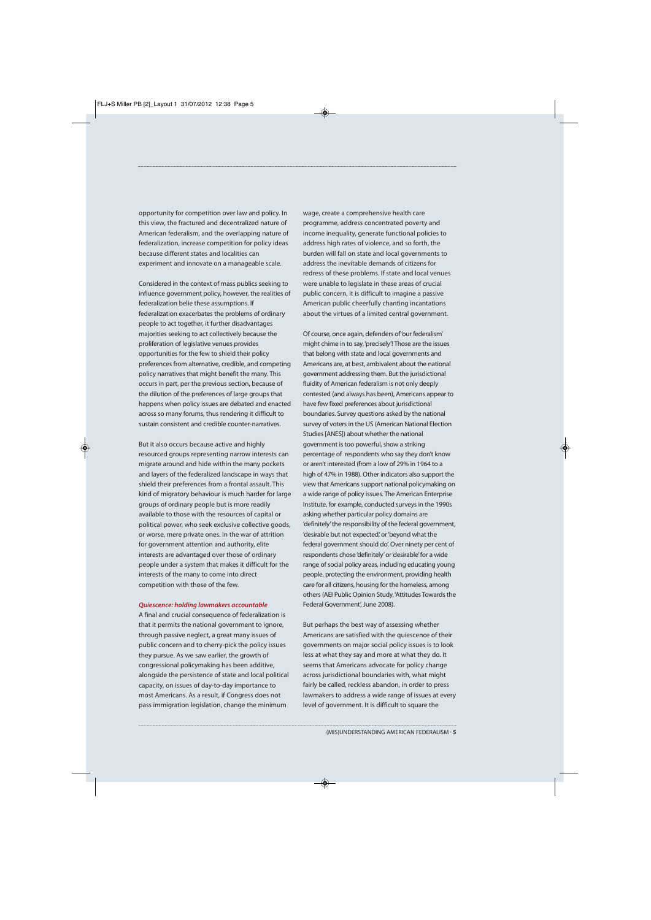opportunity for competition over law and policy. In this view, the fractured and decentralized nature of American federalism, and the overlapping nature of federalization, increase competition for policy ideas because different states and localities can experiment and innovate on a manageable scale.

Considered in the context of mass publics seeking to influence government policy, however, the realities of federalization belie these assumptions. If federalization exacerbates the problems of ordinary people to act together, it further disadvantages majorities seeking to act collectively because the proliferation of legislative venues provides opportunities for the few to shield their policy preferences from alternative, credible, and competing policy narratives that might benefit the many. This occurs in part, per the previous section, because of the dilution of the preferences of large groups that happens when policy issues are debated and enacted across so many forums, thus rendering it difficult to sustain consistent and credible counter-narratives.

But it also occurs because active and highly resourced groups representing narrow interests can migrate around and hide within the many pockets and layers of the federalized landscape in ways that shield their preferences from a frontal assault. This kind of migratory behaviour is much harder for large groups of ordinary people but is more readily available to those with the resources of capital or political power, who seek exclusive collective goods, or worse, mere private ones. In the war of attrition for government attention and authority, elite interests are advantaged over those of ordinary people under a system that makes it difficult for the interests of the many to come into direct competition with those of the few.

#### *Quiescence: holding lawmakers accountable*

A final and crucial consequence of federalization is that it permits the national government to ignore, through passive neglect, a great many issues of public concern and to cherry-pick the policy issues they pursue. As we saw earlier, the growth of congressional policymaking has been additive, alongside the persistence of state and local political capacity, on issues of day-to-day importance to most Americans. As a result, if Congress does not pass immigration legislation, change the minimum

wage, create a comprehensive health care programme, address concentrated poverty and income inequality, generate functional policies to address high rates of violence, and so forth, the burden will fall on state and local governments to address the inevitable demands of citizens for redress of these problems. If state and local venues were unable to legislate in these areas of crucial public concern, it is difficult to imagine a passive American public cheerfully chanting incantations about the virtues of a limited central government.

Of course, once again, defenders of 'our federalism' might chime in to say, 'precisely'! Those are the issues that belong with state and local governments and Americans are, at best, ambivalent about the national government addressing them. But the jurisdictional fluidity of American federalism is not only deeply contested (and always has been), Americans appear to have few fixed preferences about jurisdictional boundaries. Survey questions asked by the national survey of voters in the US (American National Election Studies [ANES]) about whether the national government is too powerful, show a striking percentage of respondents who say they don't know or aren't interested (from a low of 29% in 1964 to a high of 47% in 1988). Other indicators also support the view that Americans support national policymaking on a wide range of policy issues. The American Enterprise Institute, for example, conducted surveys in the 1990s asking whether particular policy domains are 'definitely' the responsibility of the federal government, 'desirable but not expected,' or 'beyond what the federal government should do'. Over ninety per cent of respondents chose 'definitely' or 'desirable' for a wide range of social policy areas, including educating young people, protecting the environment, providing health care for all citizens, housing for the homeless, among others (AEI Public Opinion Study, 'Attitudes Towards the Federal Government', June 2008).

But perhaps the best way of assessing whether Americans are satisfied with the quiescence of their governments on major social policy issues is to look less at what they say and more at what they do. It seems that Americans advocate for policy change across jurisdictional boundaries with, what might fairly be called, reckless abandon, in order to press lawmakers to address a wide range of issues at every level of government. It is difficult to square the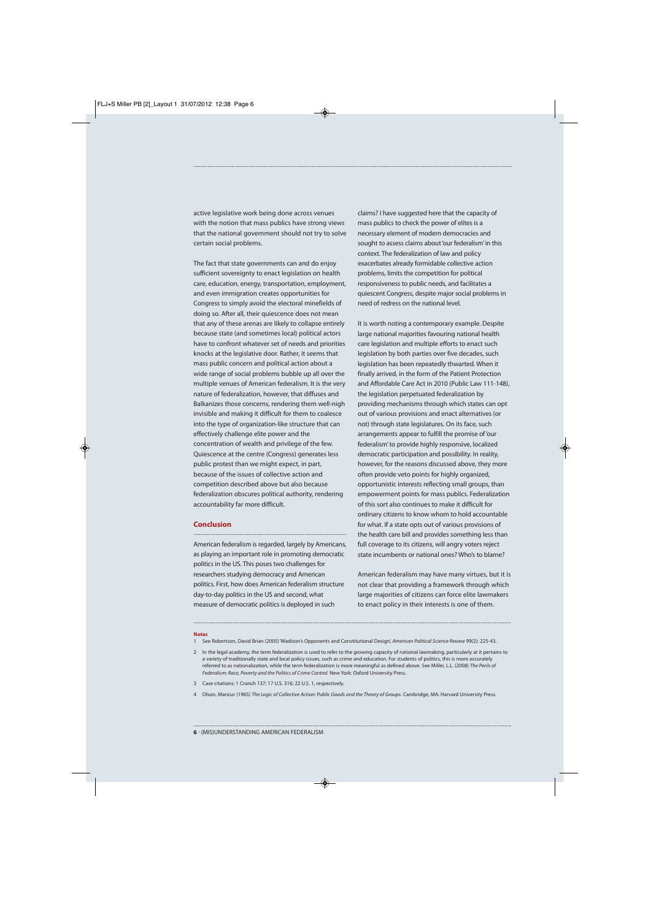active legislative work being done across venues with the notion that mass publics have strong views that the national government should not try to solve certain social problems.

The fact that state governments can and do enjoy sufficient sovereignty to enact legislation on health care, education, energy, transportation, employment, and even immigration creates opportunities for Congress to simply avoid the electoral minefields of doing so. After all, their quiescence does not mean that any of these arenas are likely to collapse entirely because state (and sometimes local) political actors have to confront whatever set of needs and priorities knocks at the legislative door. Rather, it seems that mass public concern and political action about a wide range of social problems bubble up all over the multiple venues of American federalism. It is the very nature of federalization, however, that diffuses and Balkanizes those concerns, rendering them well-nigh invisible and making it difficult for them to coalesce into the type of organization-like structure that can effectively challenge elite power and the concentration of wealth and privilege of the few. Quiescence at the centre (Congress) generates less public protest than we might expect, in part, because of the issues of collective action and competition described above but also because federalization obscures political authority, rendering accountability far more difficult.

#### **Conclusion**

American federalism is regarded, largely by Americans, as playing an important role in promoting democratic politics in the US. This poses two challenges for researchers studying democracy and American politics. First, how does American federalism structure day-to-day politics in the US and second, what measure of democratic politics is deployed in such

claims? I have suggested here that the capacity of mass publics to check the power of elites is a necessary element of modern democracies and sought to assess claims about 'our federalism' in this context. The federalization of law and policy exacerbates already formidable collective action problems, limits the competition for political responsiveness to public needs, and facilitates a quiescent Congress, despite major social problems in need of redress on the national level.

It is worth noting a contemporary example. Despite large national majorities favouring national health care legislation and multiple efforts to enact such legislation by both parties over five decades, such legislation has been repeatedly thwarted. When it finally arrived, in the form of the Patient Protection and Affordable Care Act in 2010 (Public Law 111-148), the legislation perpetuated federalization by providing mechanisms through which states can opt out of various provisions and enact alternatives (or not) through state legislatures. On its face, such arrangements appear to fulfill the promise of 'our federalism' to provide highly responsive, localized democratic participation and possibility. In reality, however, for the reasons discussed above, they more often provide veto points for highly organized, opportunistic interests reflecting small groups, than empowerment points for mass publics. Federalization of this sort also continues to make it difficult for ordinary citizens to know whom to hold accountable for what. If a state opts out of various provisions of the health care bill and provides something less than full coverage to its citizens, will angry voters reject state incumbents or national ones? Who's to blame?

American federalism may have many virtues, but it is not clear that providing a framework through which large majorities of citizens can force elite lawmakers to enact policy in their interests is one of them.

#### **Notes**

- 3 Case citations: 1 Cranch 137; 17 U.S. 316; 22 U.S. 1, respectively.
- 4 Olson, Mancur (1965) *The Logic of Collective Action: Public Goods and the Theory of Groups.* Cambridge, MA: Harvard University Press.

<sup>1</sup> See Robertson, David Brian (2005) 'Madison's Opponents and Constitutional Design', *American Political Science Review* 99(2): 225-43.

<sup>2</sup> In the legal academy, the term federalization is used to refer to the growing capacity of national lawmaking, particularly at it pertains to a variety of traditionally state and local policy issues, such as crime and education. For students of politics, this is more accurately referred to as nationalization, while the term federalization is more meaningful as defined above. See Miller, L.L. (2008) *The Perils of Federalism: Race, Poverty and the Politics of Crime Control.* New York: Oxford University Press.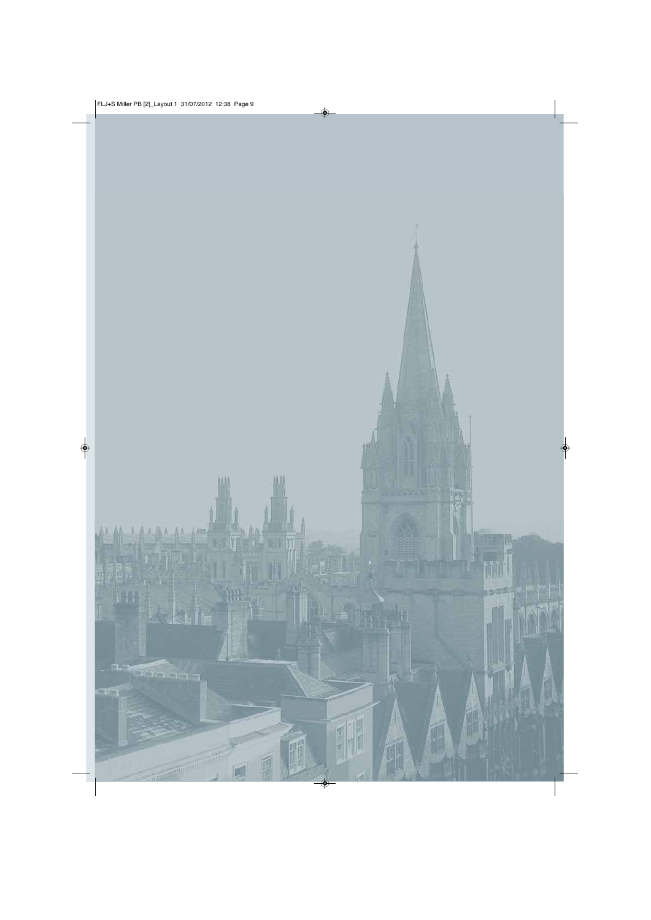